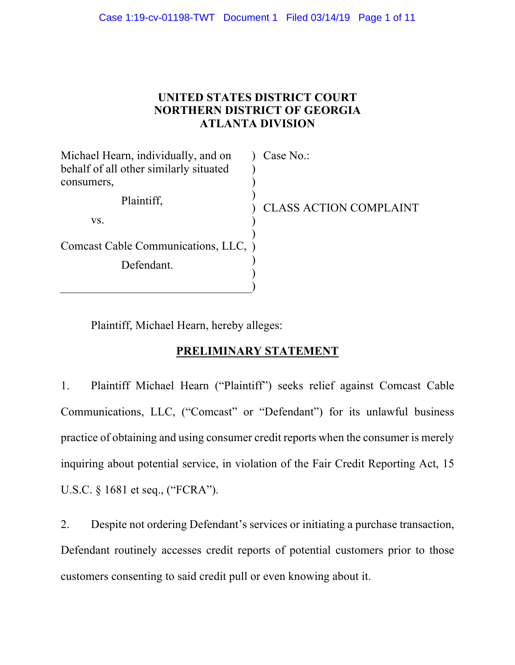## **UNITED STATES DISTRICT COURT NORTHERN DISTRICT OF GEORGIA ATLANTA DIVISION**

| Michael Hearn, individually, and on    | Case No.:                     |
|----------------------------------------|-------------------------------|
| behalf of all other similarly situated |                               |
| consumers,                             |                               |
| Plaintiff,                             | <b>CLASS ACTION COMPLAINT</b> |
| VS.                                    |                               |
|                                        |                               |
| Comcast Cable Communications, LLC, )   |                               |
| Defendant.                             |                               |
|                                        |                               |
|                                        |                               |

Plaintiff, Michael Hearn, hereby alleges:

## **PRELIMINARY STATEMENT**

1. Plaintiff Michael Hearn ("Plaintiff") seeks relief against Comcast Cable Communications, LLC, ("Comcast" or "Defendant") for its unlawful business practice of obtaining and using consumer credit reports when the consumer is merely inquiring about potential service, in violation of the Fair Credit Reporting Act, 15 U.S.C. § 1681 et seq., ("FCRA").

2. Despite not ordering Defendant's services or initiating a purchase transaction, Defendant routinely accesses credit reports of potential customers prior to those customers consenting to said credit pull or even knowing about it.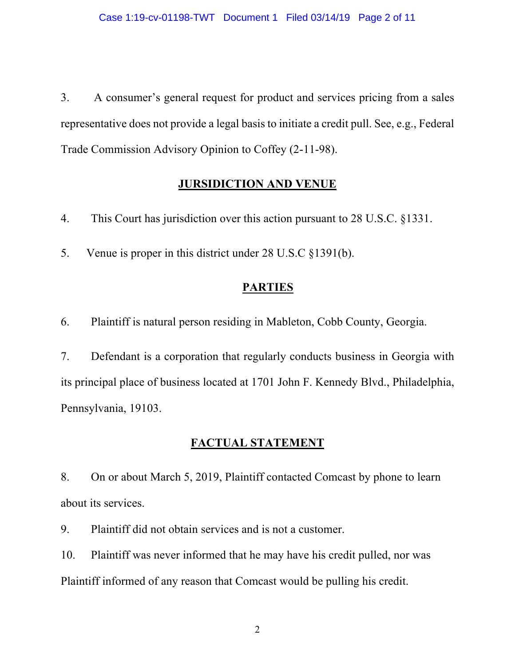3. A consumer's general request for product and services pricing from a sales representative does not provide a legal basis to initiate a credit pull. See, e.g., Federal Trade Commission Advisory Opinion to Coffey (2-11-98).

## **JURSIDICTION AND VENUE**

4. This Court has jurisdiction over this action pursuant to 28 U.S.C. §1331.

5. Venue is proper in this district under 28 U.S.C §1391(b).

## **PARTIES**

6. Plaintiff is natural person residing in Mableton, Cobb County, Georgia.

7. Defendant is a corporation that regularly conducts business in Georgia with its principal place of business located at 1701 John F. Kennedy Blvd., Philadelphia, Pennsylvania, 19103.

# **FACTUAL STATEMENT**

8. On or about March 5, 2019, Plaintiff contacted Comcast by phone to learn about its services.

9. Plaintiff did not obtain services and is not a customer.

10. Plaintiff was never informed that he may have his credit pulled, nor was Plaintiff informed of any reason that Comcast would be pulling his credit.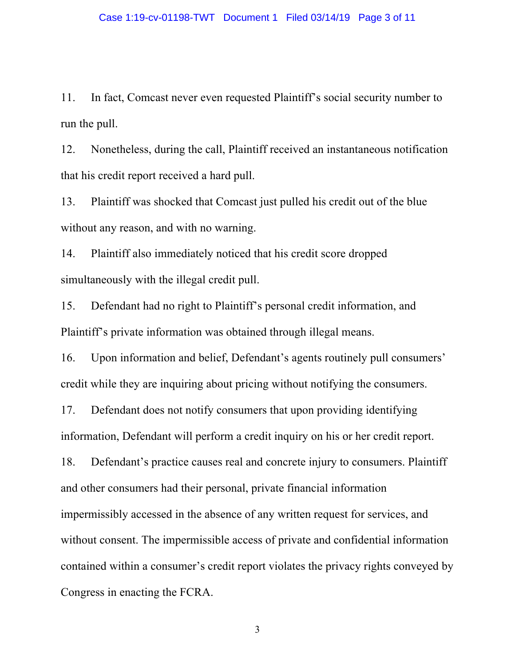11. In fact, Comcast never even requested Plaintiff's social security number to run the pull.

12. Nonetheless, during the call, Plaintiff received an instantaneous notification that his credit report received a hard pull.

13. Plaintiff was shocked that Comcast just pulled his credit out of the blue without any reason, and with no warning.

14. Plaintiff also immediately noticed that his credit score dropped simultaneously with the illegal credit pull.

15. Defendant had no right to Plaintiff's personal credit information, and Plaintiff's private information was obtained through illegal means.

16. Upon information and belief, Defendant's agents routinely pull consumers' credit while they are inquiring about pricing without notifying the consumers.

17. Defendant does not notify consumers that upon providing identifying information, Defendant will perform a credit inquiry on his or her credit report.

18. Defendant's practice causes real and concrete injury to consumers. Plaintiff and other consumers had their personal, private financial information impermissibly accessed in the absence of any written request for services, and without consent. The impermissible access of private and confidential information contained within a consumer's credit report violates the privacy rights conveyed by Congress in enacting the FCRA.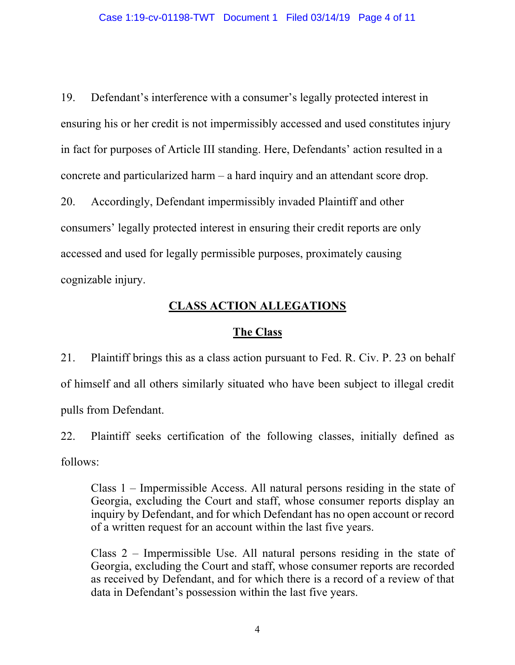19. Defendant's interference with a consumer's legally protected interest in ensuring his or her credit is not impermissibly accessed and used constitutes injury in fact for purposes of Article III standing. Here, Defendants' action resulted in a concrete and particularized harm – a hard inquiry and an attendant score drop.

20. Accordingly, Defendant impermissibly invaded Plaintiff and other consumers' legally protected interest in ensuring their credit reports are only accessed and used for legally permissible purposes, proximately causing cognizable injury.

## **CLASS ACTION ALLEGATIONS**

### **The Class**

21. Plaintiff brings this as a class action pursuant to Fed. R. Civ. P. 23 on behalf of himself and all others similarly situated who have been subject to illegal credit pulls from Defendant.

22. Plaintiff seeks certification of the following classes, initially defined as follows:

Class 1 – Impermissible Access. All natural persons residing in the state of Georgia, excluding the Court and staff, whose consumer reports display an inquiry by Defendant, and for which Defendant has no open account or record of a written request for an account within the last five years.

Class 2 – Impermissible Use. All natural persons residing in the state of Georgia, excluding the Court and staff, whose consumer reports are recorded as received by Defendant, and for which there is a record of a review of that data in Defendant's possession within the last five years.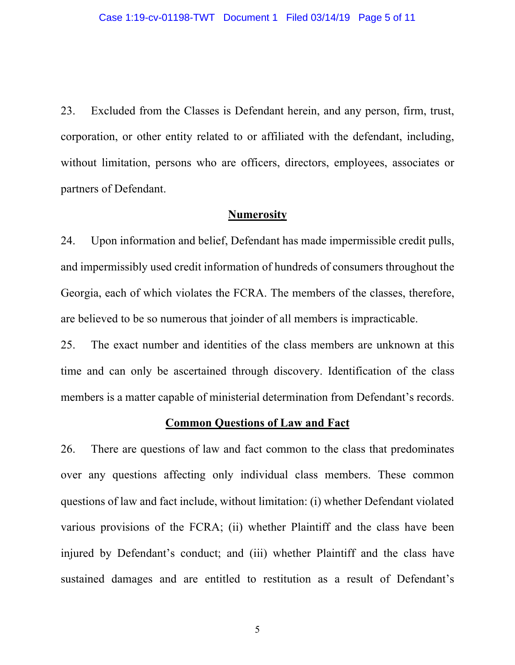23. Excluded from the Classes is Defendant herein, and any person, firm, trust, corporation, or other entity related to or affiliated with the defendant, including, without limitation, persons who are officers, directors, employees, associates or partners of Defendant.

#### **Numerosity**

24. Upon information and belief, Defendant has made impermissible credit pulls, and impermissibly used credit information of hundreds of consumers throughout the Georgia, each of which violates the FCRA. The members of the classes, therefore, are believed to be so numerous that joinder of all members is impracticable.

25. The exact number and identities of the class members are unknown at this time and can only be ascertained through discovery. Identification of the class members is a matter capable of ministerial determination from Defendant's records.

#### **Common Questions of Law and Fact**

26. There are questions of law and fact common to the class that predominates over any questions affecting only individual class members. These common questions of law and fact include, without limitation: (i) whether Defendant violated various provisions of the FCRA; (ii) whether Plaintiff and the class have been injured by Defendant's conduct; and (iii) whether Plaintiff and the class have sustained damages and are entitled to restitution as a result of Defendant's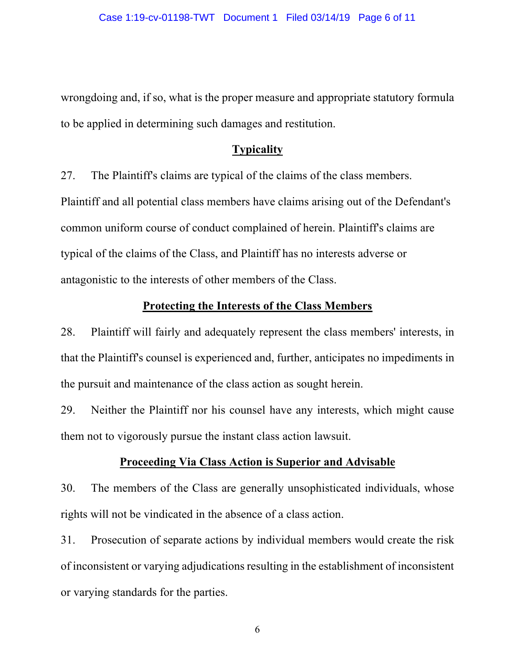wrongdoing and, if so, what is the proper measure and appropriate statutory formula to be applied in determining such damages and restitution.

#### **Typicality**

27. The Plaintiff's claims are typical of the claims of the class members. Plaintiff and all potential class members have claims arising out of the Defendant's common uniform course of conduct complained of herein. Plaintiff's claims are typical of the claims of the Class, and Plaintiff has no interests adverse or antagonistic to the interests of other members of the Class.

#### **Protecting the Interests of the Class Members**

28. Plaintiff will fairly and adequately represent the class members' interests, in that the Plaintiff's counsel is experienced and, further, anticipates no impediments in the pursuit and maintenance of the class action as sought herein.

29. Neither the Plaintiff nor his counsel have any interests, which might cause them not to vigorously pursue the instant class action lawsuit.

#### **Proceeding Via Class Action is Superior and Advisable**

30. The members of the Class are generally unsophisticated individuals, whose rights will not be vindicated in the absence of a class action.

31. Prosecution of separate actions by individual members would create the risk of inconsistent or varying adjudications resulting in the establishment of inconsistent or varying standards for the parties.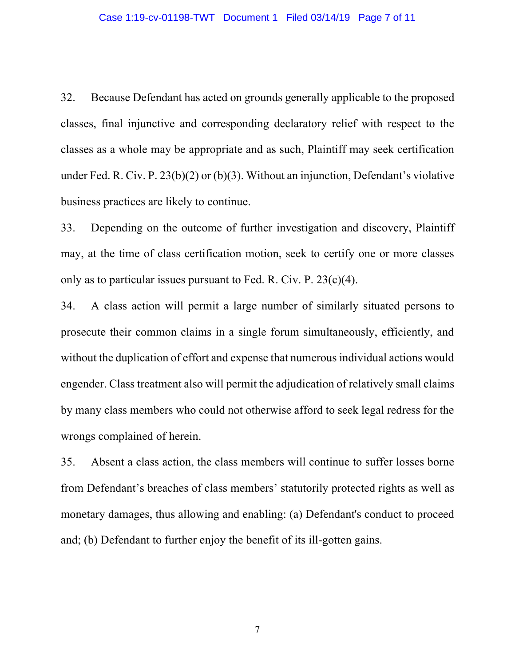32. Because Defendant has acted on grounds generally applicable to the proposed classes, final injunctive and corresponding declaratory relief with respect to the classes as a whole may be appropriate and as such, Plaintiff may seek certification under Fed. R. Civ. P. 23(b)(2) or (b)(3). Without an injunction, Defendant's violative business practices are likely to continue.

33. Depending on the outcome of further investigation and discovery, Plaintiff may, at the time of class certification motion, seek to certify one or more classes only as to particular issues pursuant to Fed. R. Civ. P.  $23(c)(4)$ .

34. A class action will permit a large number of similarly situated persons to prosecute their common claims in a single forum simultaneously, efficiently, and without the duplication of effort and expense that numerous individual actions would engender. Class treatment also will permit the adjudication of relatively small claims by many class members who could not otherwise afford to seek legal redress for the wrongs complained of herein.

35. Absent a class action, the class members will continue to suffer losses borne from Defendant's breaches of class members' statutorily protected rights as well as monetary damages, thus allowing and enabling: (a) Defendant's conduct to proceed and; (b) Defendant to further enjoy the benefit of its ill-gotten gains.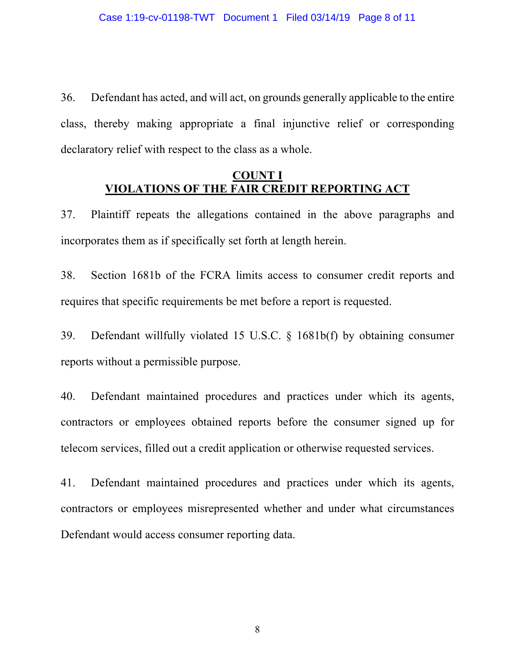36. Defendant has acted, and will act, on grounds generally applicable to the entire class, thereby making appropriate a final injunctive relief or corresponding declaratory relief with respect to the class as a whole.

## **COUNT I VIOLATIONS OF THE FAIR CREDIT REPORTING ACT**

37. Plaintiff repeats the allegations contained in the above paragraphs and incorporates them as if specifically set forth at length herein.

38. Section 1681b of the FCRA limits access to consumer credit reports and requires that specific requirements be met before a report is requested.

39. Defendant willfully violated 15 U.S.C. § 1681b(f) by obtaining consumer reports without a permissible purpose.

40. Defendant maintained procedures and practices under which its agents, contractors or employees obtained reports before the consumer signed up for telecom services, filled out a credit application or otherwise requested services.

41. Defendant maintained procedures and practices under which its agents, contractors or employees misrepresented whether and under what circumstances Defendant would access consumer reporting data.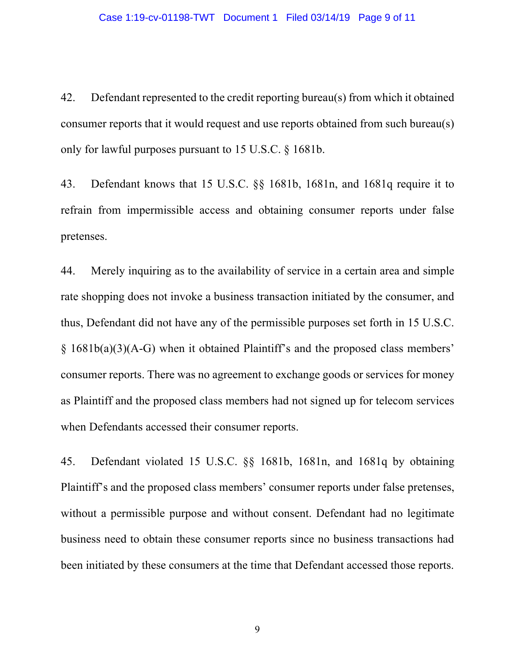42. Defendant represented to the credit reporting bureau(s) from which it obtained consumer reports that it would request and use reports obtained from such bureau(s) only for lawful purposes pursuant to 15 U.S.C. § 1681b.

43. Defendant knows that 15 U.S.C. §§ 1681b, 1681n, and 1681q require it to refrain from impermissible access and obtaining consumer reports under false pretenses.

44. Merely inquiring as to the availability of service in a certain area and simple rate shopping does not invoke a business transaction initiated by the consumer, and thus, Defendant did not have any of the permissible purposes set forth in 15 U.S.C. § 1681b(a)(3)(A-G) when it obtained Plaintiff's and the proposed class members' consumer reports. There was no agreement to exchange goods or services for money as Plaintiff and the proposed class members had not signed up for telecom services when Defendants accessed their consumer reports.

45. Defendant violated 15 U.S.C. §§ 1681b, 1681n, and 1681q by obtaining Plaintiff's and the proposed class members' consumer reports under false pretenses, without a permissible purpose and without consent. Defendant had no legitimate business need to obtain these consumer reports since no business transactions had been initiated by these consumers at the time that Defendant accessed those reports.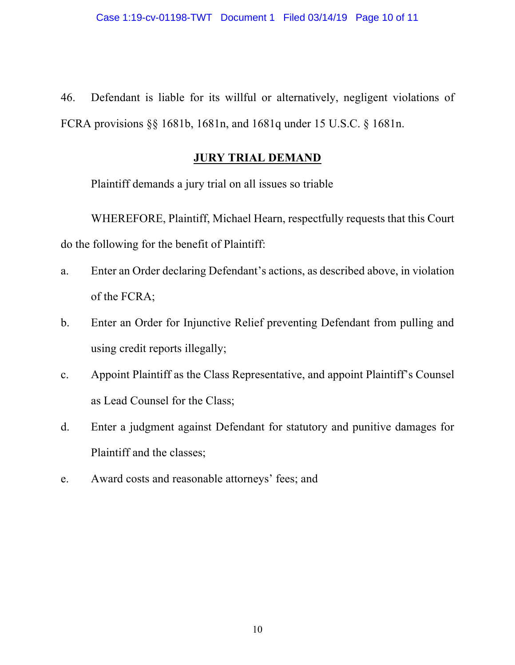46. Defendant is liable for its willful or alternatively, negligent violations of FCRA provisions §§ 1681b, 1681n, and 1681q under 15 U.S.C. § 1681n.

## **JURY TRIAL DEMAND**

Plaintiff demands a jury trial on all issues so triable

WHEREFORE, Plaintiff, Michael Hearn, respectfully requests that this Court do the following for the benefit of Plaintiff:

- a. Enter an Order declaring Defendant's actions, as described above, in violation of the FCRA;
- b. Enter an Order for Injunctive Relief preventing Defendant from pulling and using credit reports illegally;
- c. Appoint Plaintiff as the Class Representative, and appoint Plaintiff's Counsel as Lead Counsel for the Class;
- d. Enter a judgment against Defendant for statutory and punitive damages for Plaintiff and the classes;
- e. Award costs and reasonable attorneys' fees; and